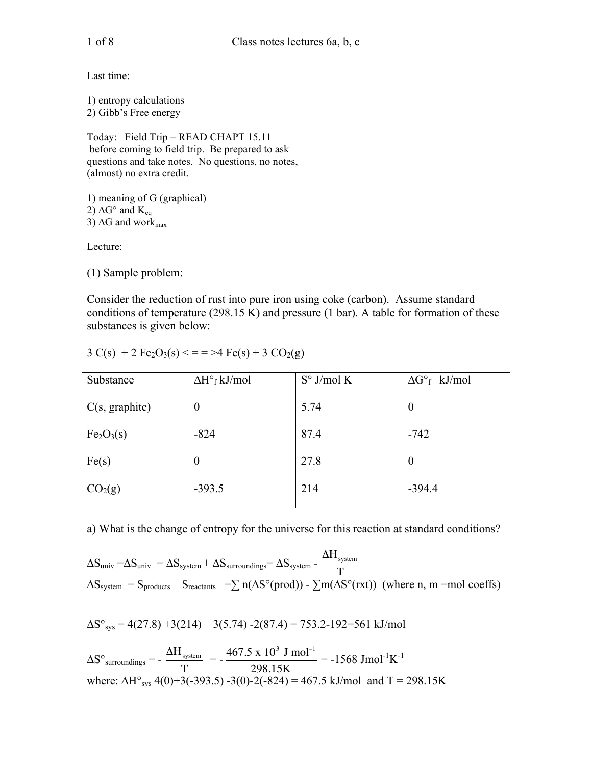Last time:

1) entropy calculations 2) Gibb's Free energy

Today: Field Trip – READ CHAPT 15.11 before coming to field trip. Be prepared to ask questions and take notes. No questions, no notes, (almost) no extra credit.

1) meaning of G (graphical) 2)  $\Delta G^{\circ}$  and  $K_{eq}$ 3)  $\Delta G$  and work $_{\text{max}}$ 

Lecture:

(1) Sample problem:

Consider the reduction of rust into pure iron using coke (carbon). Assume standard conditions of temperature (298.15 K) and pressure (1 bar). A table for formation of these substances is given below:

| Substance                          | $\Delta H^{\circ}$ <sub>f</sub> kJ/mol | $S^{\circ}$ J/mol K | $\Delta G^{\circ}$ kJ/mol |
|------------------------------------|----------------------------------------|---------------------|---------------------------|
| C(s, graphite)                     | $\boldsymbol{0}$                       | 5.74                | $\boldsymbol{0}$          |
| Fe <sub>2</sub> O <sub>3</sub> (s) | $-824$                                 | 87.4                | $-742$                    |
| Fe(s)                              | $\theta$                               | 27.8                | $\theta$                  |
| CO <sub>2</sub> (g)                | $-393.5$                               | 214                 | $-394.4$                  |

 $3 C(s) + 2 Fe<sub>2</sub>O<sub>3</sub>(s) < = \sqrt{2} Fe(s) + 3 CO<sub>2</sub>(g)$ 

a) What is the change of entropy for the universe for this reaction at standard conditions?

$$
\Delta S_{\text{univ}} = \Delta S_{\text{univ}} = \Delta S_{\text{system}} + \Delta S_{\text{surroundings}} = \Delta S_{\text{system}} - \frac{\Delta H_{\text{system}}}{T}
$$
\n
$$
\Delta S_{\text{system}} = S_{\text{products}} - S_{\text{reactants}} = \sum n(\Delta S^{\circ}(\text{prod})) - \sum m(\Delta S^{\circ}(\text{rxt})) \text{ (where n, m =mol coefficients)}
$$

$$
\Delta S^{\circ}_{sys} = 4(27.8) + 3(214) - 3(5.74) - 2(87.4) = 753.2 - 192 = 561 \text{ kJ/mol}
$$

 $\Delta S^{\circ}$ <sub>surroundings</sub> = -  $\frac{\Delta H_{\text{system}}}{T}$ T  $= -\frac{467.5 \times 10^3 \text{ J mol}^{-1}}{200.45}$ 298.15K  $= -1568$  Jmol<sup>-1</sup>K<sup>-1</sup> where:  $\Delta H^{\circ}$ <sub>sys</sub> 4(0)+3(-393.5) -3(0)-2(-824) = 467.5 kJ/mol and T = 298.15K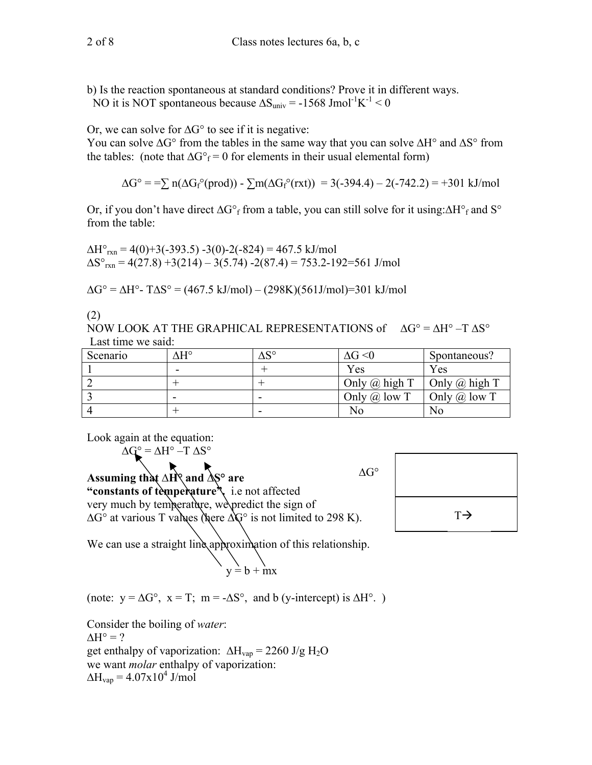b) Is the reaction spontaneous at standard conditions? Prove it in different ways.

NO it is NOT spontaneous because  $\Delta S_{\text{univ}} = -1568 \text{ J} \text{mol}^{-1} \text{K}^{-1} < 0$ 

Or, we can solve for  $\Delta G^{\circ}$  to see if it is negative:

You can solve  $\Delta G^{\circ}$  from the tables in the same way that you can solve  $\Delta H^{\circ}$  and  $\Delta S^{\circ}$  from the tables: (note that  $\Delta G^{\circ}$ <sub>f</sub> = 0 for elements in their usual elemental form)

$$
\Delta G^{\circ} = \sum n(\Delta G_f^{\circ} (prod)) - \sum m(\Delta G_f^{\circ} (rxt)) = 3(-394.4) - 2(-742.2) = +301 \text{ kJ/mol}
$$

Or, if you don't have direct  $\Delta G^{\circ}$  from a table, you can still solve for it using:  $\Delta H^{\circ}$  and S<sup>o</sup> from the table:

 $\Delta H^{\circ}$ <sub>rxn</sub> = 4(0)+3(-393.5) -3(0)-2(-824) = 467.5 kJ/mol  $\Delta S^{\circ}_{rxn}$  = 4(27.8) +3(214) – 3(5.74) -2(87.4) = 753.2-192=561 J/mol

 $\Delta G^{\circ} = \Delta H^{\circ}$ - T $\Delta S^{\circ} = (467.5 \text{ kJ/mol}) - (298 \text{K})(561 \text{J/mol}) = 301 \text{ kJ/mol}$ 

(2)

NOW LOOK AT THE GRAPHICAL REPRESENTATIONS of  $\Delta G^{\circ} = \Delta H^{\circ} - T \Delta S^{\circ}$ Last time we said:

| Scenario | ٨H° | $\Delta S^{\circ}$ | $\Delta G \le 0$     | Spontaneous?         |
|----------|-----|--------------------|----------------------|----------------------|
|          | -   |                    | Yes                  | Yes                  |
|          |     |                    | Only $\omega$ high T | Only $\omega$ high T |
|          |     |                    | Only $\omega$ low T  | Only $\omega$ low T  |
|          |     |                    | No                   | No                   |

Look again at the equation:

 $\Delta G^{\circ}$  =  $\Delta H^{\circ}$  –T  $\Delta S^{\circ}$ 

 $\Delta G^{\circ}$ 

**Assuming that H° and S° are "constants of temperature".** i.e not affected very much by temperature, we predict the sign of  $\Delta G^{\circ}$  at various T values (here  $\Delta G^{\circ}$  is not limited to 298 K).  $T\rightarrow$ 

We can use a straight line approximation of this relationship.

$$
\begin{array}{c}\n\diagdown \\
y = b + mx\n\end{array}
$$

(note:  $y = \Delta G^{\circ}$ ,  $x = T$ ;  $m = -\Delta S^{\circ}$ , and b (y-intercept) is  $\Delta H^{\circ}$ .)

Consider the boiling of *water*:  $\Delta H^{\circ} = ?$ get enthalpy of vaporization:  $\Delta H_{vap} = 2260 \text{ J/g H}_2\text{O}$ we want *molar* enthalpy of vaporization:

 $\Delta H_{\text{vap}} = 4.07 \times 10^4 \text{ J/mol}$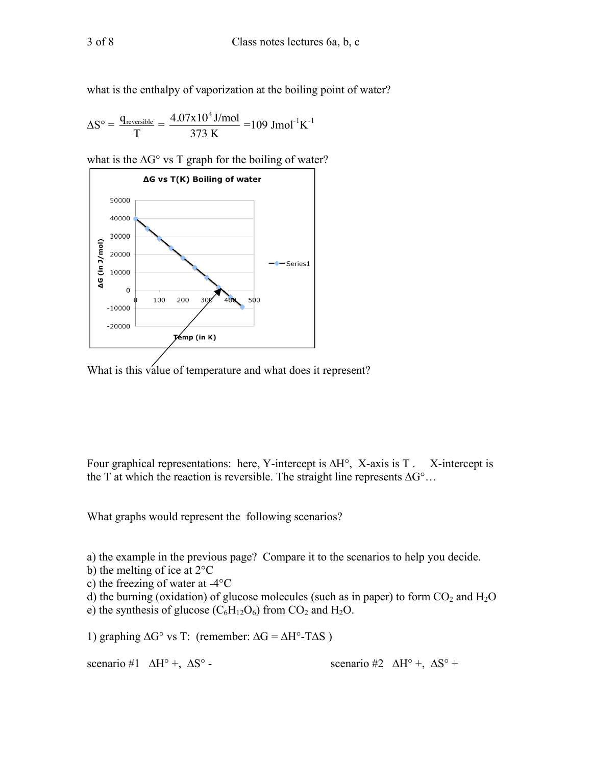what is the enthalpy of vaporization at the boiling point of water?

$$
\Delta S^{\circ} = \frac{q_{\text{reversible}}}{T} = \frac{4.07 \times 10^4 \text{ J/mol}}{373 \text{ K}} = 109 \text{ Jmol}^{-1} \text{K}^{-1}
$$

what is the  $\Delta G^{\circ}$  vs T graph for the boiling of water?



What is this value of temperature and what does it represent?

Four graphical representations: here, Y-intercept is  $\Delta H^{\circ}$ , X-axis is T. X-intercept is the T at which the reaction is reversible. The straight line represents  $\Delta G^{\circ}$ ...

What graphs would represent the following scenarios?

a) the example in the previous page? Compare it to the scenarios to help you decide.

- b) the melting of ice at 2°C
- c) the freezing of water at -4°C
- d) the burning (oxidation) of glucose molecules (such as in paper) to form  $CO<sub>2</sub>$  and  $H<sub>2</sub>O$
- e) the synthesis of glucose  $(C_6H_{12}O_6)$  from  $CO_2$  and  $H_2O$ .

1) graphing  $\Delta G^{\circ}$  vs T: (remember:  $\Delta G = \Delta H^{\circ}$ -T $\Delta S$ )

scenario #1  $\Delta H^{\circ}$  +,  $\Delta S^{\circ}$  - scenario #2  $\Delta H^{\circ}$  +,  $\Delta S^{\circ}$  +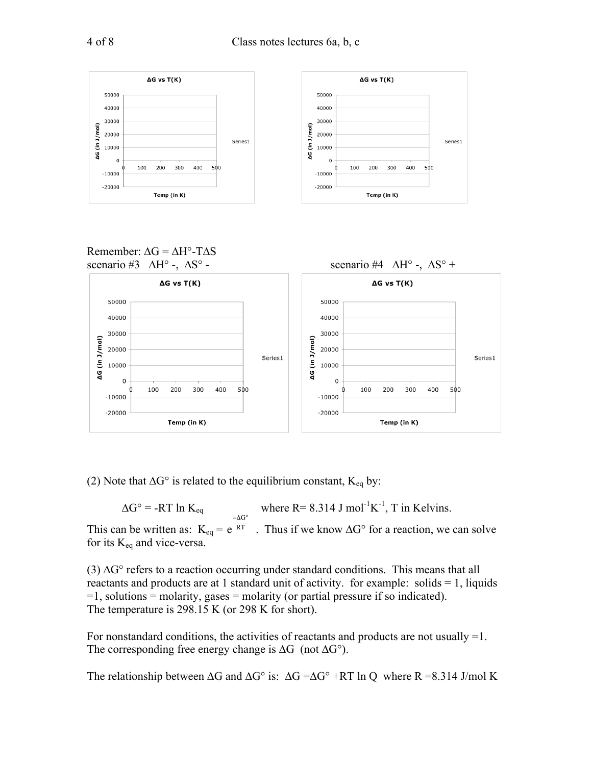

(2) Note that  $\Delta G^{\circ}$  is related to the equilibrium constant,  $K_{eq}$  by:

 $\Delta G^{\circ}$  = -RT ln K<sub>eq</sub> where R= 8.314 J mol<sup>-1</sup>K<sup>-1</sup>, T in Kelvins. This can be written as:  $K_{eq} = e^{RT}$ . Thus if we know  $\Delta G^{\circ}$  for a reaction, we can solve  $-\Delta G^{\circ}$ for its  $K_{eq}$  and vice-versa.

(3)  $\Delta G^{\circ}$  refers to a reaction occurring under standard conditions. This means that all reactants and products are at 1 standard unit of activity. for example: solids = 1, liquids =1, solutions = molarity, gases = molarity (or partial pressure if so indicated). The temperature is 298.15 K (or 298 K for short).

For nonstandard conditions, the activities of reactants and products are not usually =1. The corresponding free energy change is  $\Delta G$  (not  $\Delta G^{\circ}$ ).

The relationship between  $\Delta G$  and  $\Delta G^{\circ}$  is:  $\Delta G = \Delta G^{\circ} + RT \ln Q$  where R =8.314 J/mol K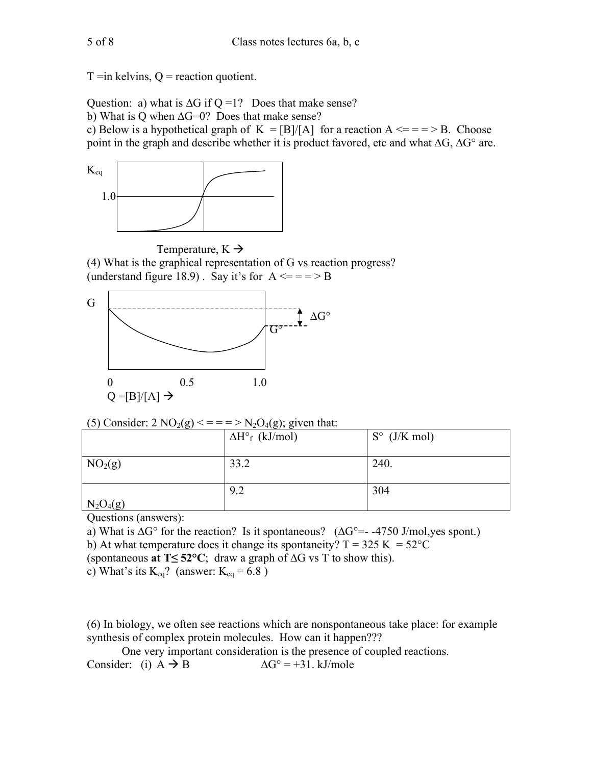$T = in$  kelvins,  $Q =$  reaction quotient.

Question: a) what is  $\Delta G$  if Q =1? Does that make sense?

b) What is Q when  $\Delta G=0$ ? Does that make sense?

c) Below is a hypothetical graph of  $K = [B]/[A]$  for a reaction  $A \leq x = 0$ . Choose point in the graph and describe whether it is product favored, etc and what  $\Delta G$ ,  $\Delta G^{\circ}$  are.



Temperature,  $K \rightarrow$ (4) What is the graphical representation of G vs reaction progress? (understand figure 18.9). Say it's for  $A \leq x = 0$ 



(5) Consider:  $2 \text{ NO}_2(g) \leq 2 \text{ U}_2O_4(g)$ ; given that:

| - 00                | ے ہے۔<br>$\Delta H^{\circ}$ <sub>f</sub> (kJ/mol) | $S^{\circ}$ (J/K mol) |
|---------------------|---------------------------------------------------|-----------------------|
| NO <sub>2</sub> (g) | 33.2                                              | 240.                  |
| $N_2O_4(g)$         | 9.2                                               | 304                   |

Questions (answers):

a) What is  $\Delta G^{\circ}$  for the reaction? Is it spontaneous? ( $\Delta G^{\circ}$ =-4750 J/mol, yes spont.)

b) At what temperature does it change its spontaneity?  $T = 325$  K =  $52^{\circ}C$ 

(spontaneous at  $T \le 52^{\circ}C$ ; draw a graph of  $\Delta G$  vs T to show this).

c) What's its  $K_{eq}$ ? (answer:  $K_{eq} = 6.8$ )

(6) In biology, we often see reactions which are nonspontaneous take place: for example synthesis of complex protein molecules. How can it happen???

One very important consideration is the presence of coupled reactions. Consider: (i)  $A \rightarrow B$  $\Delta G^{\circ} = +31. \text{ kJ/mole}$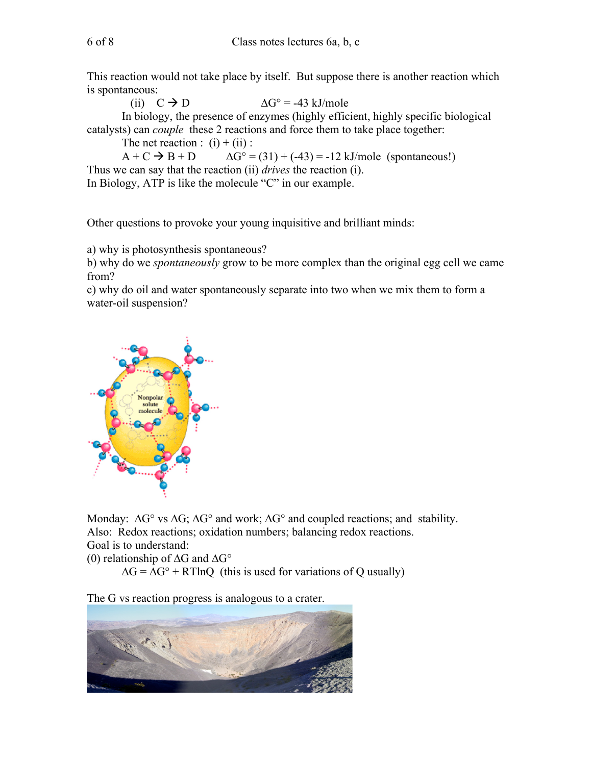This reaction would not take place by itself. But suppose there is another reaction which is spontaneous:

(ii)  $C \rightarrow D$  $\Delta G^{\circ}$  = -43 kJ/mole In biology, the presence of enzymes (highly efficient, highly specific biological

catalysts) can *couple* these 2 reactions and force them to take place together:

The net reaction :  $(i) + (ii)$  :

 $A + C \rightarrow B + D$  $\Delta G^{\circ} = (31) + (-43) = -12 \text{ kJ/mole (spontaneous!)}$ Thus we can say that the reaction (ii) *drives* the reaction (i).

In Biology, ATP is like the molecule "C" in our example.

Other questions to provoke your young inquisitive and brilliant minds:

a) why is photosynthesis spontaneous?

b) why do we *spontaneously* grow to be more complex than the original egg cell we came from?

c) why do oil and water spontaneously separate into two when we mix them to form a water-oil suspension?



Monday:  $\Delta G^{\circ}$  vs  $\Delta G$ ;  $\Delta G^{\circ}$  and work;  $\Delta G^{\circ}$  and coupled reactions; and stability. Also: Redox reactions; oxidation numbers; balancing redox reactions. Goal is to understand:

(0) relationship of  $\Delta G$  and  $\Delta G^{\circ}$ 

 $\Delta G = \Delta G^{\circ} + RT \ln Q$  (this is used for variations of Q usually)

The G vs reaction progress is analogous to a crater.

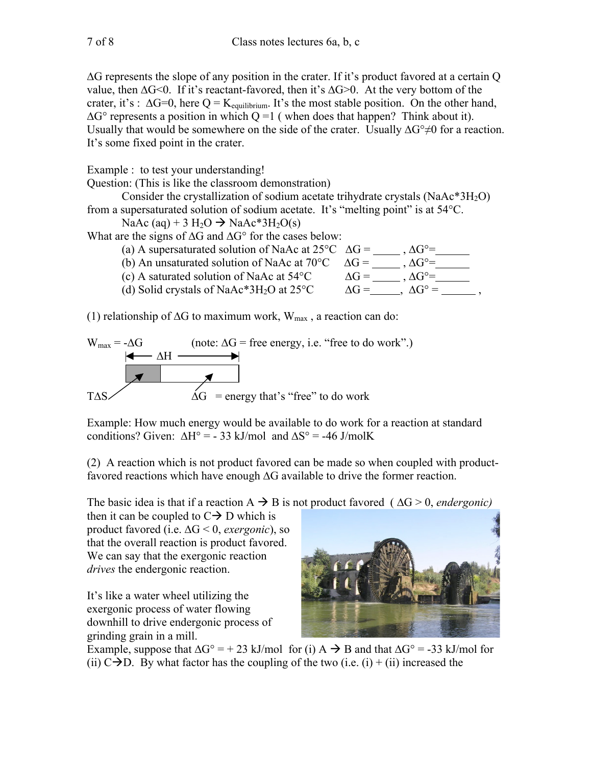$\Delta G$  represents the slope of any position in the crater. If it's product favored at a certain Q value, then  $\Delta G \le 0$ . If it's reactant-favored, then it's  $\Delta G \ge 0$ . At the very bottom of the crater, it's :  $\Delta G=0$ , here Q = K<sub>equilibrium</sub>. It's the most stable position. On the other hand,  $\Delta G^{\circ}$  represents a position in which Q =1 (when does that happen? Think about it). Usually that would be somewhere on the side of the crater. Usually  $\Delta G^{\circ} \neq 0$  for a reaction. It's some fixed point in the crater.

Example : to test your understanding!

Question: (This is like the classroom demonstration)

Consider the crystallization of sodium acetate trihydrate crystals  $(NaAc*3H<sub>2</sub>O)$ from a supersaturated solution of sodium acetate. It's "melting point" is at 54°C.

NaAc (aq) + 3 H<sub>2</sub>O  $\rightarrow$  NaAc\*3H<sub>2</sub>O(s)

What are the signs of  $\Delta G$  and  $\Delta G^{\circ}$  for the cases below:

| (a) A supersaturated solution of NaAc at $25^{\circ}$ C $\Delta$ G = |                         | $\Lambda$ ( $\dot{r}$ °=   |  |
|----------------------------------------------------------------------|-------------------------|----------------------------|--|
| (b) An unsaturated solution of NaAc at 70 $\degree$ C $\Delta G =$   |                         | $\Lambda$ G <sup>o</sup> = |  |
| (c) A saturated solution of NaAc at $54^{\circ}$ C                   | $\Lambda$ ( $\dot{r}$ = | $\Lambda$ G <sup>o</sup> = |  |
| (d) Solid crystals of NaAc*3H <sub>2</sub> O at $25^{\circ}$ C       | $\Delta G =$            | $\Delta G^{\circ}$ =       |  |
|                                                                      |                         |                            |  |

(1) relationship of  $\Delta G$  to maximum work,  $W_{max}$ , a reaction can do:

$$
W_{\text{max}} = -\Delta G \quad \text{(note: } \Delta G = \text{free energy, i.e. "free to do work".})
$$
\nTo find the energy, i.e. "free to do work." 

\nTo find the energy that's "free" to do work.

Example: How much energy would be available to do work for a reaction at standard conditions? Given:  $\Delta H^{\circ} = -33$  kJ/mol and  $\Delta S^{\circ} = -46$  J/molK

(2) A reaction which is not product favored can be made so when coupled with productfavored reactions which have enough  $\Delta G$  available to drive the former reaction.

The basic idea is that if a reaction  $A \rightarrow B$  is not product favored ( $\Delta G > 0$ , *endergonic)* 

then it can be coupled to  $C \rightarrow D$  which is product favored (i.e. ΔG < 0, *exergonic*), so that the overall reaction is product favored. We can say that the exergonic reaction *drives* the endergonic reaction.

It's like a water wheel utilizing the exergonic process of water flowing downhill to drive endergonic process of grinding grain in a mill.



Example, suppose that  $\Delta G^{\circ} = + 23$  kJ/mol for (i)  $A \rightarrow B$  and that  $\Delta G^{\circ} = -33$  kJ/mol for (ii)  $C \rightarrow D$ . By what factor has the coupling of the two (i.e. (i) + (ii) increased the